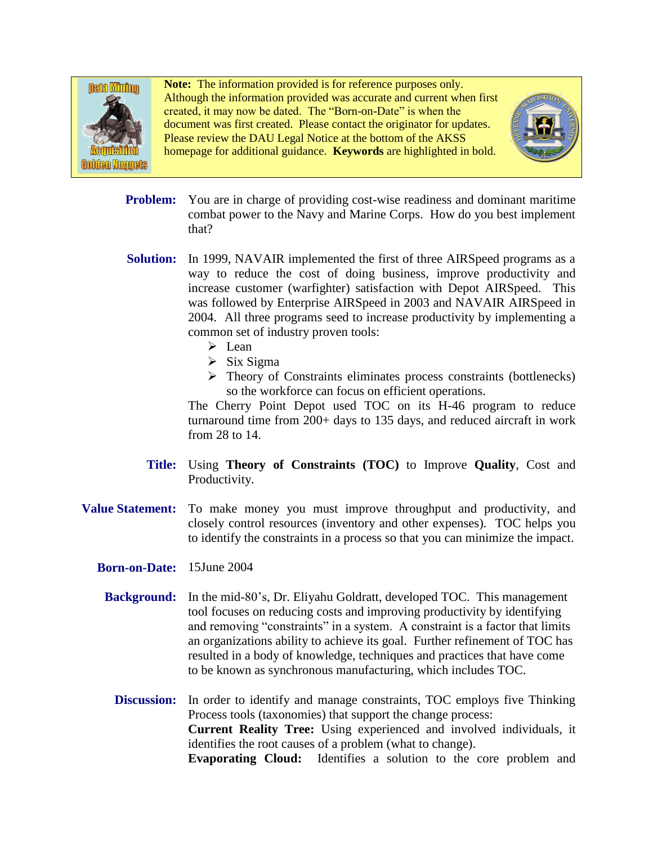

**Note:** The information provided is for reference purposes only. Although the information provided was accurate and current when first created, it may now be dated. The "Born-on-Date" is when the document was first created. Please contact the originator for updates. Please review the DAU Legal Notice at the bottom of the AKSS homepage for additional guidance. **Keywords** are highlighted in bold.



- **Problem:** You are in charge of providing cost-wise readiness and dominant maritime combat power to the Navy and Marine Corps. How do you best implement that?
- Solution: In 1999, NAVAIR implemented the first of three AIRSpeed programs as a way to reduce the cost of doing business, improve productivity and increase customer (warfighter) satisfaction with Depot AIRSpeed. This was followed by Enterprise AIRSpeed in 2003 and NAVAIR AIRSpeed in 2004. All three programs seed to increase productivity by implementing a common set of industry proven tools:
	- $\triangleright$  Lean
	- $\triangleright$  Six Sigma
	- $\triangleright$  Theory of Constraints eliminates process constraints (bottlenecks) so the workforce can focus on efficient operations.

The Cherry Point Depot used TOC on its H-46 program to reduce turnaround time from 200+ days to 135 days, and reduced aircraft in work from 28 to 14.

- **Title:** Using **Theory of Constraints (TOC)** to Improve **Quality**, Cost and Productivity.
- **Value Statement:** To make money you must improve throughput and productivity, and closely control resources (inventory and other expenses). TOC helps you to identify the constraints in a process so that you can minimize the impact.
	- **Born-on-Date:** 15June 2004
		- **Background:** In the mid-80's, Dr. Eliyahu Goldratt, developed TOC. This management tool focuses on reducing costs and improving productivity by identifying and removing "constraints" in a system. A constraint is a factor that limits an organizations ability to achieve its goal. Further refinement of TOC has resulted in a body of knowledge, techniques and practices that have come to be known as synchronous manufacturing, which includes TOC.
			- **Discussion:** In order to identify and manage constraints, TOC employs five Thinking Process tools (taxonomies) that support the change process: **Current Reality Tree:** Using experienced and involved individuals, it identifies the root causes of a problem (what to change). **Evaporating Cloud:** Identifies a solution to the core problem and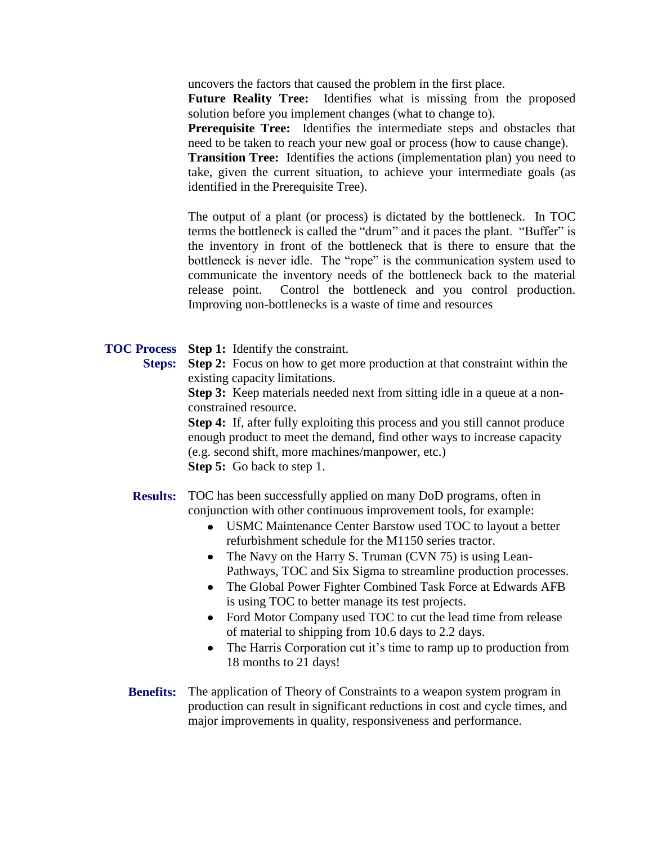uncovers the factors that caused the problem in the first place.

**Future Reality Tree:** Identifies what is missing from the proposed solution before you implement changes (what to change to).

**Prerequisite Tree:** Identifies the intermediate steps and obstacles that need to be taken to reach your new goal or process (how to cause change).

**Transition Tree:** Identifies the actions (implementation plan) you need to take, given the current situation, to achieve your intermediate goals (as identified in the Prerequisite Tree).

The output of a plant (or process) is dictated by the bottleneck. In TOC terms the bottleneck is called the "drum" and it paces the plant. "Buffer" is the inventory in front of the bottleneck that is there to ensure that the bottleneck is never idle. The "rope" is the communication system used to communicate the inventory needs of the bottleneck back to the material release point. Control the bottleneck and you control production. Improving non-bottlenecks is a waste of time and resources

## **TOC Process Step 1:** Identify the constraint.

**Steps:** Step 2: Focus on how to get more production at that constraint within the existing capacity limitations.

> **Step 3:** Keep materials needed next from sitting idle in a queue at a nonconstrained resource.

> **Step 4:** If, after fully exploiting this process and you still cannot produce enough product to meet the demand, find other ways to increase capacity (e.g. second shift, more machines/manpower, etc.) **Step 5:** Go back to step 1.

**Results:** TOC has been successfully applied on many DoD programs, often in conjunction with other continuous improvement tools, for example:

- USMC Maintenance Center Barstow used TOC to layout a better refurbishment schedule for the M1150 series tractor.
- The Navy on the Harry S. Truman (CVN 75) is using Lean-Pathways, TOC and Six Sigma to streamline production processes.
- The Global Power Fighter Combined Task Force at Edwards AFB  $\bullet$ is using TOC to better manage its test projects.
- Ford Motor Company used TOC to cut the lead time from release of material to shipping from 10.6 days to 2.2 days.
- The Harris Corporation cut it's time to ramp up to production from 18 months to 21 days!
- **Benefits:** The application of Theory of Constraints to a weapon system program in production can result in significant reductions in cost and cycle times, and major improvements in quality, responsiveness and performance.